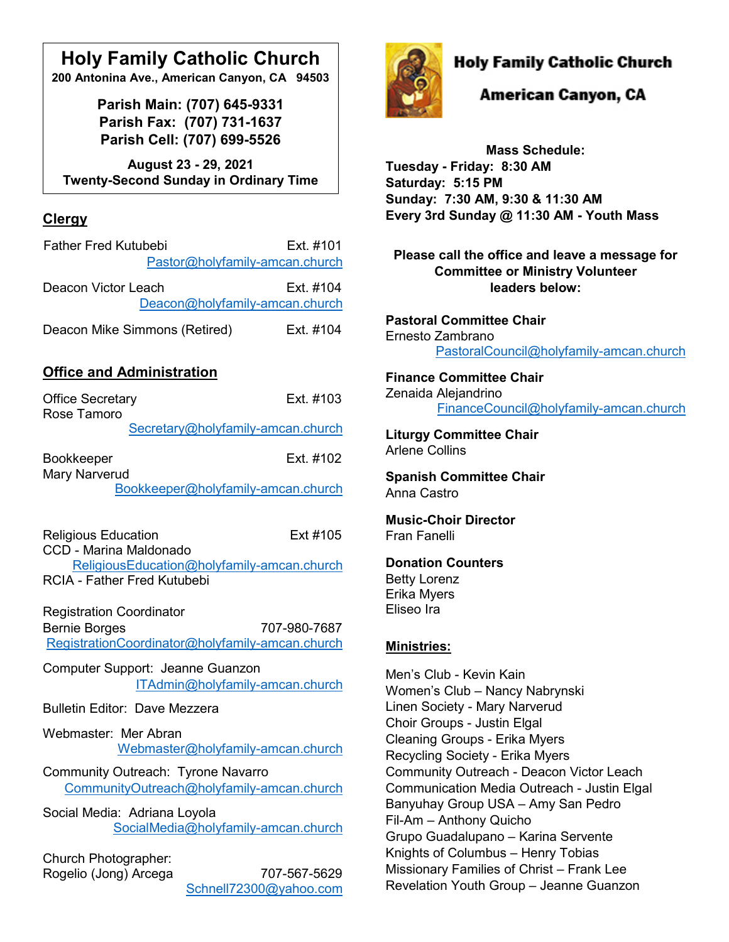# **Holy Family Catholic Church**

**200 Antonina Ave., American Canyon, CA 94503**

**Parish Main: (707) 645-9331 Parish Fax: (707) 731-1637 Parish Cell: (707) 699-5526**

**August 23 - 29, 2021 Twenty-Second Sunday in Ordinary Time**

## **Clergy**

| <b>Father Fred Kutubebi</b>    | Ext. #101 |
|--------------------------------|-----------|
| Pastor@holyfamily-amcan.church |           |
| Deacon Victor Leach            | Ext. #104 |
| Deacon@holyfamily-amcan.church |           |
| Deacon Mike Simmons (Retired)  | Ext. #104 |

## **Office and Administration**

| <b>Office Secretary</b><br>Rose Tamoro                                           | Fxt #103                                                        |
|----------------------------------------------------------------------------------|-----------------------------------------------------------------|
|                                                                                  | Secretary@holyfamily-amcan.church                               |
| <b>Bookkeeper</b><br><b>Mary Narverud</b>                                        | Ext. #102                                                       |
|                                                                                  | Bookkeeper@holyfamily-amcan.church                              |
| <b>Religious Education</b><br>CCD - Marina Maldonado                             | Ext #105                                                        |
| ReligiousEducation@holyfamily-amcan.church<br><b>RCIA - Father Fred Kutubebi</b> |                                                                 |
| <b>Registration Coordinator</b><br><b>Bernie Borges</b>                          | 707-980-7687<br>RegistrationCoordinator@holyfamily-amcan.church |
| Computer Support: Jeanne Guanzon                                                 | ITAdmin@holyfamily-amcan.church                                 |
| <b>Bulletin Editor: Dave Mezzera</b>                                             |                                                                 |
| Webmaster: Mer Abran                                                             | Webmaster@holyfamily-amcan.church                               |
| <b>Community Outreach: Tyrone Navarro</b>                                        | CommunityOutreach@holyfamily-amcan.church                       |
| Social Media: Adriana Loyola                                                     | SocialMedia@holyfamily-amcan.church                             |
| Church Photographer:<br>Rogelio (Jong) Arcega                                    | 707-567-5629<br>Schnell72300@yahoo.com                          |



## **Holy Family Catholic Church**

## American Canyon, CA

**Mass Schedule: Tuesday - Friday: 8:30 AM Saturday: 5:15 PM Sunday: 7:30 AM, 9:30 & 11:30 AM Every 3rd Sunday @ 11:30 AM - Youth Mass**

**Please call the office and leave a message for Committee or Ministry Volunteer leaders below:**

**Pastoral Committee Chair** Ernesto Zambrano [PastoralCouncil@holyfamily-amcan.church](mailto:PastoralCouncil@holyfamily-amcan.church)

#### **Finance Committee Chair** Zenaida Alejandrino [FinanceCouncil@holyfamily-amcan.church](mailto:FinanceCouncil@holyfamily-amcan.church)

**Liturgy Committee Chair**  Arlene Collins

**Spanish Committee Chair** Anna Castro

**Music-Choir Director** Fran Fanelli

### **Donation Counters**

Betty Lorenz Erika Myers Eliseo Ira

### **Ministries:**

Men's Club - Kevin Kain Women's Club – Nancy Nabrynski Linen Society - Mary Narverud Choir Groups - Justin Elgal Cleaning Groups - Erika Myers Recycling Society - Erika Myers Community Outreach - Deacon Victor Leach Communication Media Outreach - Justin Elgal Banyuhay Group USA – Amy San Pedro Fil-Am – Anthony Quicho Grupo Guadalupano – Karina Servente Knights of Columbus – Henry Tobias Missionary Families of Christ – Frank Lee Revelation Youth Group – Jeanne Guanzon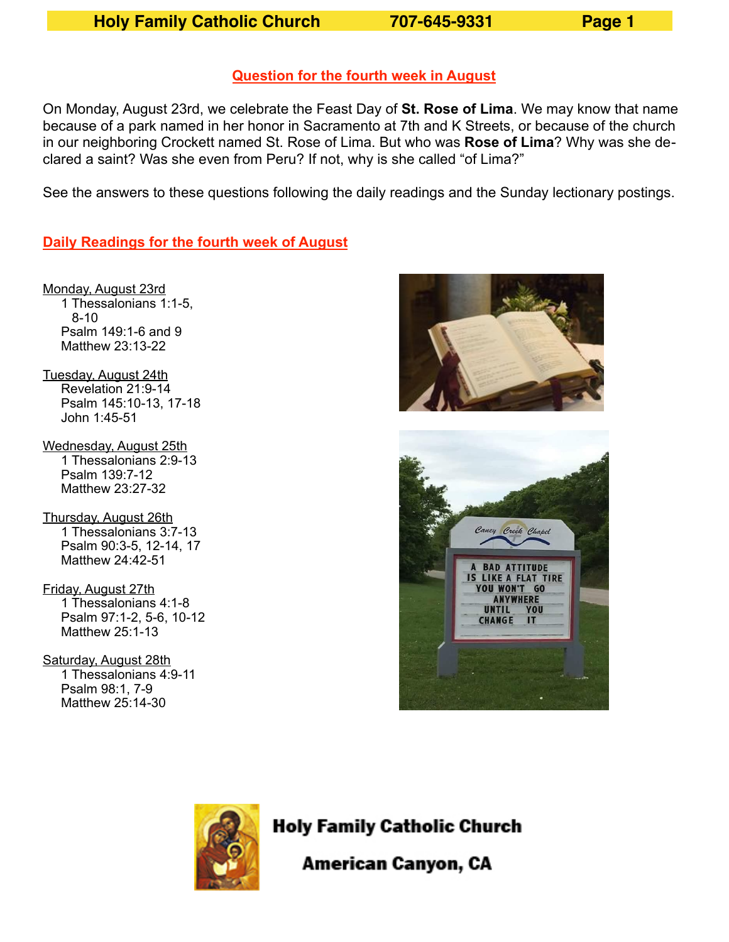**Holy Family Catholic Church 707-645-9331 Page 1** 

#### **Question for the fourth week in August**

On Monday, August 23rd, we celebrate the Feast Day of **St. Rose of Lima**. We may know that name because of a park named in her honor in Sacramento at 7th and K Streets, or because of the church in our neighboring Crockett named St. Rose of Lima. But who was **Rose of Lima**? Why was she declared a saint? Was she even from Peru? If not, why is she called "of Lima?"

See the answers to these questions following the daily readings and the Sunday lectionary postings.

**Daily Readings for the fourth week of August**

Monday, August 23rd 1 Thessalonians 1:1-5, 8-10 Psalm 149:1-6 and 9 Matthew 23:13-22

- Tuesday, August 24th Revelation 21:9-14 Psalm 145:10-13, 17-18 John 1:45-51
- Wednesday, August 25th 1 Thessalonians 2:9-13 Psalm 139:7-12 Matthew 23:27-32

Thursday, August 26th 1 Thessalonians 3:7-13 Psalm 90:3-5, 12-14, 17 Matthew 24:42-51

- Friday, August 27th 1 Thessalonians 4:1-8 Psalm 97:1-2, 5-6, 10-12 Matthew 25:1-13
- Saturday, August 28th 1 Thessalonians 4:9-11 Psalm 98:1, 7-9 Matthew 25:14-30







# **Holy Family Catholic Church**

American Canyon, CA